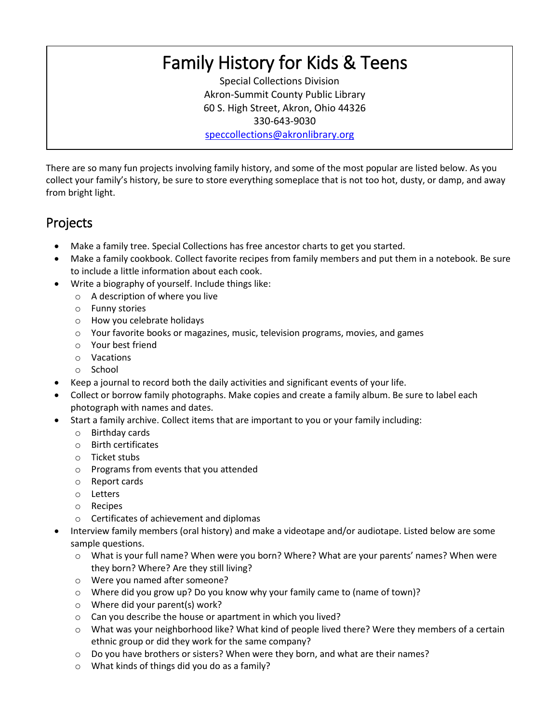## Family History for Kids & Teens

Special Collections Division Akron-Summit County Public Library 60 S. High Street, Akron, Ohio 44326 330-643-9030 [speccollections@akronlibrary.org](mailto:speccollections@akronlibrary.org)

There are so many fun projects involving family history, and some of the most popular are listed below. As you collect your family's history, be sure to store everything someplace that is not too hot, dusty, or damp, and away from bright light.

## Projects

- Make a family tree. Special Collections has free ancestor charts to get you started.
- Make a family cookbook. Collect favorite recipes from family members and put them in a notebook. Be sure to include a little information about each cook.
- Write a biography of yourself. Include things like:
	- o A description of where you live
		- o Funny stories
		- o How you celebrate holidays
		- $\circ$  Your favorite books or magazines, music, television programs, movies, and games
		- o Your best friend
	- o Vacations
	- o School
- Keep a journal to record both the daily activities and significant events of your life.
- Collect or borrow family photographs. Make copies and create a family album. Be sure to label each photograph with names and dates.
- Start a family archive. Collect items that are important to you or your family including:
	- o Birthday cards
	- o Birth certificates
	- o Ticket stubs
	- o Programs from events that you attended
	- o Report cards
	- o Letters
	- o Recipes
	- o Certificates of achievement and diplomas
- Interview family members (oral history) and make a videotape and/or audiotape. Listed below are some sample questions.
	- o What is your full name? When were you born? Where? What are your parents' names? When were they born? Where? Are they still living?
	- o Were you named after someone?
	- o Where did you grow up? Do you know why your family came to (name of town)?
	- o Where did your parent(s) work?
	- o Can you describe the house or apartment in which you lived?
	- o What was your neighborhood like? What kind of people lived there? Were they members of a certain ethnic group or did they work for the same company?
	- o Do you have brothers or sisters? When were they born, and what are their names?
	- o What kinds of things did you do as a family?